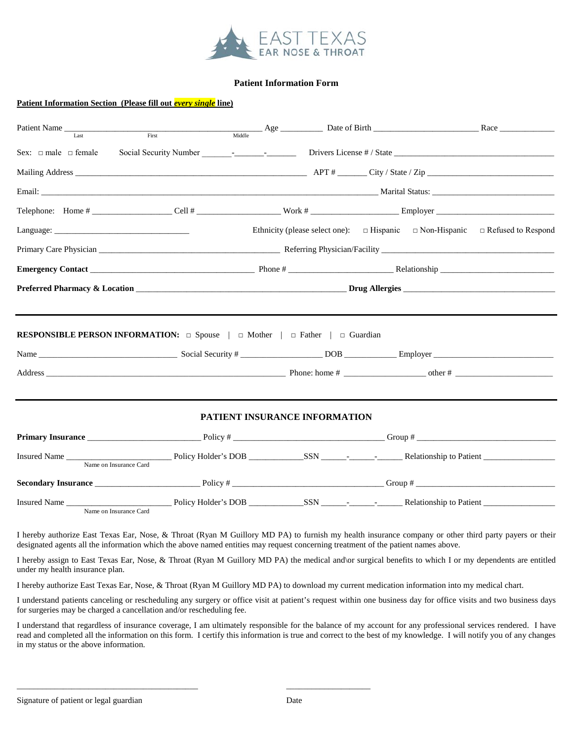

### **Patient Information Form**

#### **Patient Information Section (Please fill out** *every single* **line)**

| Patient Name<br>$\overline{I}$ ast | First                                                                                               |                               |                                                                                              |  |
|------------------------------------|-----------------------------------------------------------------------------------------------------|-------------------------------|----------------------------------------------------------------------------------------------|--|
|                                    |                                                                                                     |                               |                                                                                              |  |
|                                    |                                                                                                     |                               |                                                                                              |  |
|                                    |                                                                                                     |                               |                                                                                              |  |
|                                    |                                                                                                     |                               |                                                                                              |  |
|                                    |                                                                                                     |                               | Ethnicity (please select one): $\Box$ Hispanic $\Box$ Non-Hispanic $\Box$ Refused to Respond |  |
|                                    |                                                                                                     |                               |                                                                                              |  |
|                                    |                                                                                                     |                               |                                                                                              |  |
|                                    |                                                                                                     |                               |                                                                                              |  |
|                                    | <b>RESPONSIBLE PERSON INFORMATION:</b> $\Box$ Spouse $ \Box$ Mother $ \Box$ Father $ \Box$ Guardian |                               |                                                                                              |  |
|                                    |                                                                                                     |                               |                                                                                              |  |
|                                    |                                                                                                     | PATIENT INSURANCE INFORMATION |                                                                                              |  |
|                                    |                                                                                                     |                               |                                                                                              |  |
|                                    | Name on Insurance Card                                                                              |                               |                                                                                              |  |
|                                    |                                                                                                     |                               |                                                                                              |  |
|                                    | Name on Insurance Card                                                                              |                               |                                                                                              |  |

I hereby authorize East Texas Ear, Nose, & Throat (Ryan M Guillory MD PA) to furnish my health insurance company or other third party payers or their designated agents all the information which the above named entities may request concerning treatment of the patient names above.

I hereby assign to East Texas Ear, Nose, & Throat (Ryan M Guillory MD PA) the medical and\or surgical benefits to which I or my dependents are entitled under my health insurance plan.

I hereby authorize East Texas Ear, Nose, & Throat (Ryan M Guillory MD PA) to download my current medication information into my medical chart.

\_\_\_\_\_\_\_\_\_\_\_\_\_\_\_\_\_\_\_\_\_\_\_\_\_\_\_\_\_\_\_\_\_\_\_\_\_\_\_\_\_\_\_ \_\_\_\_\_\_\_\_\_\_\_\_\_\_\_\_\_\_\_\_

I understand patients canceling or rescheduling any surgery or office visit at patient's request within one business day for office visits and two business days for surgeries may be charged a cancellation and/or rescheduling fee.

I understand that regardless of insurance coverage, I am ultimately responsible for the balance of my account for any professional services rendered. I have read and completed all the information on this form. I certify this information is true and correct to the best of my knowledge. I will notify you of any changes in my status or the above information.